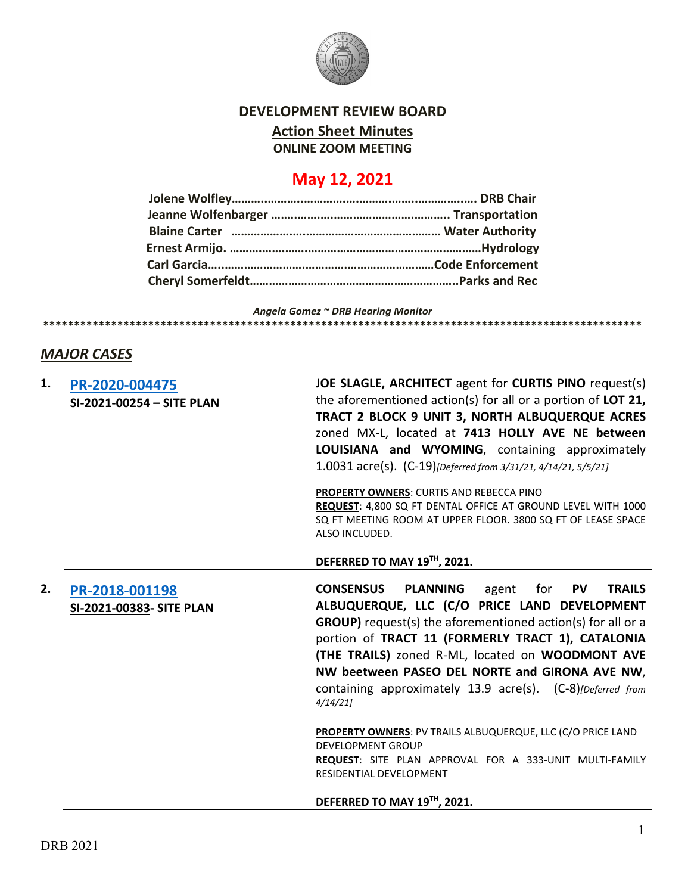

## **DEVELOPMENT REVIEW BOARD**

**Action Sheet Minutes**

**ONLINE ZOOM MEETING**

## **May 12, 2021**

*Angela Gomez ~ DRB Hearing Monitor* **\*\*\*\*\*\*\*\*\*\*\*\*\*\*\*\*\*\*\*\*\*\*\*\*\*\*\*\*\*\*\*\*\*\*\*\*\*\*\*\*\*\*\*\*\*\*\*\*\*\*\*\*\*\*\*\*\*\*\*\*\*\*\*\*\*\*\*\*\*\*\*\*\*\*\*\*\*\*\*\*\*\*\*\*\*\*\*\*\*\*\*\*\*\*\*\*\***

## *MAJOR CASES*

| 1. | PR-2020-004475<br>SI-2021-00254 - SITE PLAN | JOE SLAGLE, ARCHITECT agent for CURTIS PINO request(s)<br>the aforementioned action(s) for all or a portion of LOT 21,<br>TRACT 2 BLOCK 9 UNIT 3, NORTH ALBUQUERQUE ACRES<br>zoned MX-L, located at 7413 HOLLY AVE NE between<br>LOUISIANA and WYOMING, containing approximately<br>1.0031 acre(s). (C-19)[Deferred from 3/31/21, 4/14/21, 5/5/21]                                                                                       |
|----|---------------------------------------------|------------------------------------------------------------------------------------------------------------------------------------------------------------------------------------------------------------------------------------------------------------------------------------------------------------------------------------------------------------------------------------------------------------------------------------------|
|    |                                             | <b>PROPERTY OWNERS: CURTIS AND REBECCA PINO</b><br>REQUEST: 4,800 SQ FT DENTAL OFFICE AT GROUND LEVEL WITH 1000<br>SQ FT MEETING ROOM AT UPPER FLOOR. 3800 SQ FT OF LEASE SPACE<br>ALSO INCLUDED.                                                                                                                                                                                                                                        |
|    |                                             | DEFERRED TO MAY 19TH, 2021.                                                                                                                                                                                                                                                                                                                                                                                                              |
| 2. | PR-2018-001198<br>SI-2021-00383- SITE PLAN  | <b>CONSENSUS</b><br><b>PLANNING</b><br>for <b>PV</b><br><b>TRAILS</b><br>agent<br>ALBUQUERQUE, LLC (C/O PRICE LAND DEVELOPMENT<br><b>GROUP)</b> request(s) the aforementioned action(s) for all or a<br>portion of TRACT 11 (FORMERLY TRACT 1), CATALONIA<br>(THE TRAILS) zoned R-ML, located on WOODMONT AVE<br>NW beetween PASEO DEL NORTE and GIRONA AVE NW,<br>containing approximately 13.9 acre(s). (C-8)[Deferred from<br>4/14/21 |
|    |                                             | <b>PROPERTY OWNERS: PV TRAILS ALBUQUERQUE, LLC (C/O PRICE LAND</b><br><b>DEVELOPMENT GROUP</b><br>REQUEST: SITE PLAN APPROVAL FOR A 333-UNIT MULTI-FAMILY<br>RESIDENTIAL DEVELOPMENT                                                                                                                                                                                                                                                     |
|    |                                             | DEFERRED TO MAY 19TH, 2021.                                                                                                                                                                                                                                                                                                                                                                                                              |